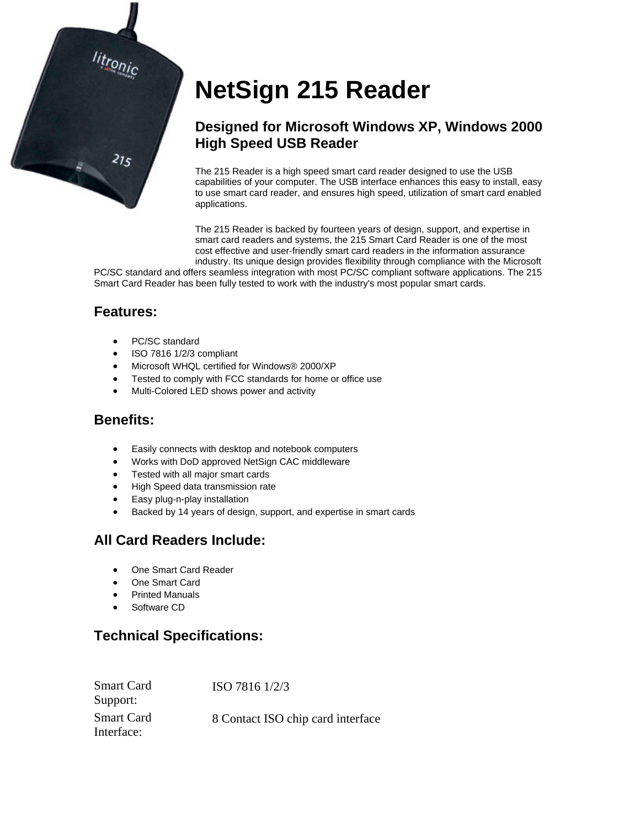

# **NetSign 215 Reader**

# **Designed for Microsoft Windows XP, Windows 2000 High Speed USB Reader**

The 215 Reader is a high speed smart card reader designed to use the USB capabilities of your computer. The USB interface enhances this easy to install, easy to use smart card reader, and ensures high speed, utilization of smart card enabled applications.

The 215 Reader is backed by fourteen years of design, support, and expertise in smart card readers and systems, the 215 Smart Card Reader is one of the most cost effective and user-friendly smart card readers in the information assurance industry. Its unique design provides flexibility through compliance with the Microsoft

PC/SC standard and offers seamless integration with most PC/SC compliant software applications. The 215 Smart Card Reader has been fully tested to work with the industry's most popular smart cards.

# **Features:**

- PC/SC standard
- ISO 7816 1/2/3 compliant
- Microsoft WHQL certified for Windows® 2000/XP
- Tested to comply with FCC standards for home or office use
- Multi-Colored LED shows power and activity

#### **Benefits:**

- Easily connects with desktop and notebook computers
- Works with DoD approved NetSign CAC middleware
- Tested with all major smart cards
- High Speed data transmission rate
- Easy plug-n-play installation
- Backed by 14 years of design, support, and expertise in smart cards

# **All Card Readers Include:**

- One Smart Card Reader
- One Smart Card
- Printed Manuals
- Software CD

# **Technical Specifications:**

| <b>Smart Card</b><br>Support:   | ISO 7816 1/2/3                    |
|---------------------------------|-----------------------------------|
| <b>Smart Card</b><br>Interface: | 8 Contact ISO chip card interface |